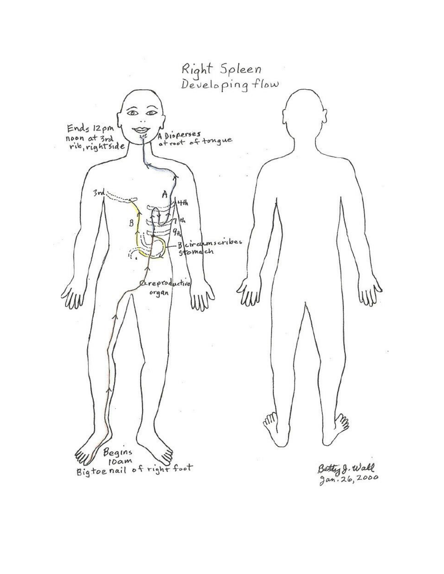